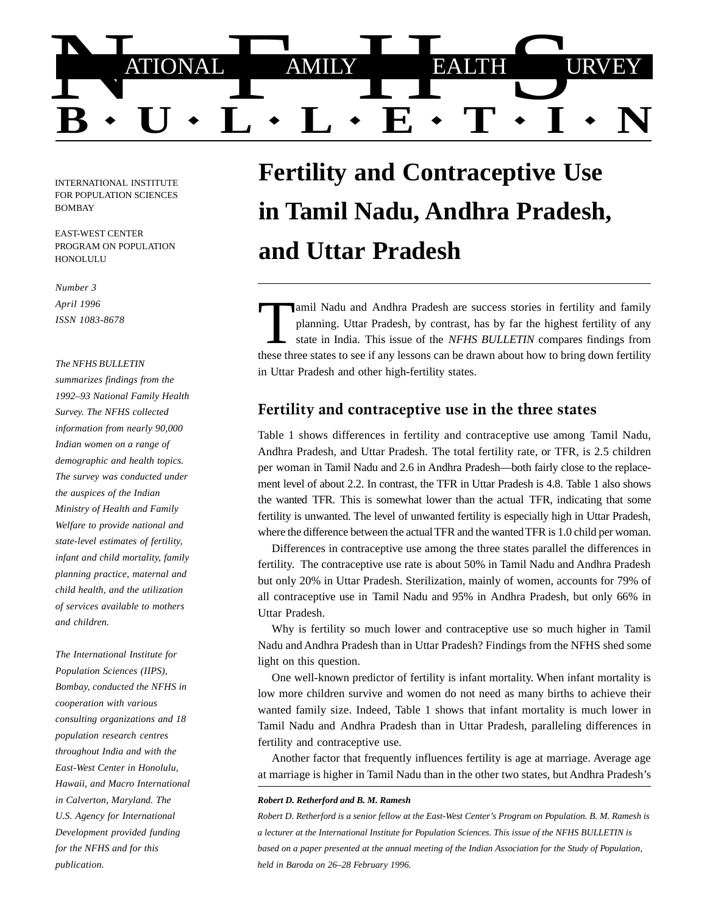

INTERNATIONAL INSTITUTE FOR POPULATION SCIENCES BOMBAY

EAST-WEST CENTER PROGRAM ON POPULATION **HONOLULU** 

*Number 3 April 1996 ISSN 1083-8678*

### *The NFHS BULLETIN*

*summarizes findings from the 1992–93 National Family Health Survey. The NFHS collected information from nearly 90,000 Indian women on a range of demographic and health topics. The survey was conducted under the auspices of the Indian Ministry of Health and Family Welfare to provide national and state-level estimates of fertility, infant and child mortality, family planning practice, maternal and child health, and the utilization of services available to mothers and children.*

*The International Institute for Population Sciences (IIPS), Bombay, conducted the NFHS in cooperation with various consulting organizations and 18 population research centres throughout India and with the East-West Center in Honolulu, Hawaii, and Macro International in Calverton, Maryland. The U.S. Agency for International Development provided funding for the NFHS and for this publication.*

# **Fertility and Contraceptive Use in Tamil Nadu, Andhra Pradesh, and Uttar Pradesh**

Tamil Nadu and Andhra Pradesh are success stories in fertility and family planning. Uttar Pradesh, by contrast, has by far the highest fertility of any state in India. This issue of the *NFHS BULLETIN* compares findings fr planning. Uttar Pradesh, by contrast, has by far the highest fertility of any state in India. This issue of the *NFHS BULLETIN* compares findings from these three states to see if any lessons can be drawn about how to bring down fertility in Uttar Pradesh and other high-fertility states.

# Fertility and contraceptive use in the three states

Table 1 shows differences in fertility and contraceptive use among Tamil Nadu, Andhra Pradesh, and Uttar Pradesh. The total fertility rate, or TFR, is 2.5 children per woman in Tamil Nadu and 2.6 in Andhra Pradesh—both fairly close to the replacement level of about 2.2. In contrast, the TFR in Uttar Pradesh is 4.8. Table 1 also shows the wanted TFR. This is somewhat lower than the actual TFR, indicating that some fertility is unwanted. The level of unwanted fertility is especially high in Uttar Pradesh, where the difference between the actual TFR and the wanted TFR is 1.0 child per woman.

Differences in contraceptive use among the three states parallel the differences in fertility. The contraceptive use rate is about 50% in Tamil Nadu and Andhra Pradesh but only 20% in Uttar Pradesh. Sterilization, mainly of women, accounts for 79% of all contraceptive use in Tamil Nadu and 95% in Andhra Pradesh, but only 66% in Uttar Pradesh.

Why is fertility so much lower and contraceptive use so much higher in Tamil Nadu and Andhra Pradesh than in Uttar Pradesh? Findings from the NFHS shed some light on this question.

One well-known predictor of fertility is infant mortality. When infant mortality is low more children survive and women do not need as many births to achieve their wanted family size. Indeed, Table 1 shows that infant mortality is much lower in Tamil Nadu and Andhra Pradesh than in Uttar Pradesh, paralleling differences in fertility and contraceptive use.

Another factor that frequently influences fertility is age at marriage. Average age at marriage is higher in Tamil Nadu than in the other two states, but Andhra Pradesh's

### *Robert D. Retherford and B. M. Ramesh*

*Robert D. Retherford is a senior fellow at the East-West Center's Program on Population. B. M. Ramesh is a lecturer at the International Institute for Population Sciences. This issue of the NFHS BULLETIN is based on a paper presented at the annual meeting of the Indian Association for the Study of Population, held in Baroda on 26–28 February 1996.*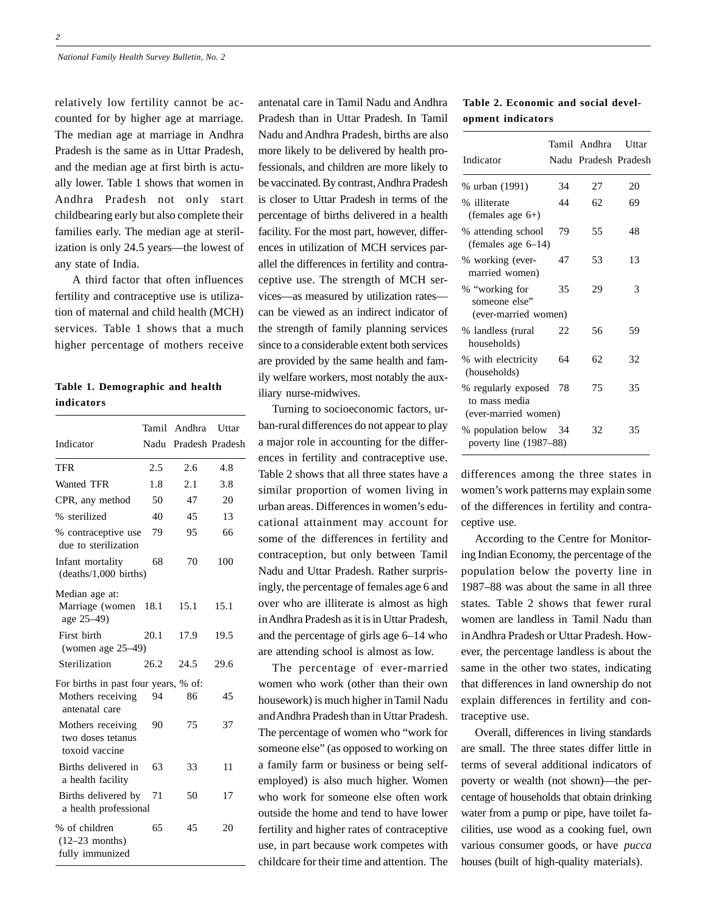relatively low fertility cannot be accounted for by higher age at marriage. The median age at marriage in Andhra Pradesh is the same as in Uttar Pradesh, and the median age at first birth is actually lower. Table 1 shows that women in Andhra Pradesh not only start childbearing early but also complete their families early. The median age at sterilization is only 24.5 years—the lowest of any state of India.

 A third factor that often influences fertility and contraceptive use is utilization of maternal and child health (MCH) services. Table 1 shows that a much higher percentage of mothers receive

# **Table 1. Demographic and health indicators**

|                                                                             |      | Tamil Andhra         | Uttar |
|-----------------------------------------------------------------------------|------|----------------------|-------|
| Indicator                                                                   |      | Nadu Pradesh Pradesh |       |
| TFR                                                                         | 2.5  | 2.6                  | 4.8   |
| Wanted TFR                                                                  | 1.8  | 2.1                  | 3.8   |
| CPR, any method                                                             | 50   | 47                   | 20    |
| % sterilized                                                                | 40   | 45                   | 13    |
| % contraceptive use<br>due to sterilization                                 | 79   | 95                   | 66    |
| Infant mortality<br>(deaths/1,000 births)                                   | 68   | 70                   | 100   |
| Median age at:<br>Marriage (women<br>age 25–49)                             | 18.1 | 15.1                 | 15.1  |
| First birth<br>(women age $25-49$ )                                         | 20.1 | 17.9                 | 19.5  |
| Sterilization                                                               | 26.2 | 24.5                 | 29.6  |
| For births in past four years, % of:<br>Mothers receiving<br>antenatal care | 94   | 86                   | 45    |
| Mothers receiving<br>two doses tetanus<br>toxoid vaccine                    | 90   | 75                   | 37    |
| Births delivered in<br>a health facility                                    | 63   | 33                   | 11    |
| Births delivered by<br>a health professional                                | 71   | 50                   | 17    |
| % of children<br>$(12-23$ months)<br>fully immunized                        | 65   | 45                   | 20    |

antenatal care in Tamil Nadu and Andhra Pradesh than in Uttar Pradesh. In Tamil Nadu and Andhra Pradesh, births are also more likely to be delivered by health professionals, and children are more likely to be vaccinated. By contrast, Andhra Pradesh is closer to Uttar Pradesh in terms of the percentage of births delivered in a health facility. For the most part, however, differences in utilization of MCH services parallel the differences in fertility and contraceptive use. The strength of MCH services—as measured by utilization rates can be viewed as an indirect indicator of the strength of family planning services since to a considerable extent both services are provided by the same health and family welfare workers, most notably the auxiliary nurse-midwives.

Turning to socioeconomic factors, urban-rural differences do not appear to play a major role in accounting for the differences in fertility and contraceptive use. Table 2 shows that all three states have a similar proportion of women living in urban areas. Differences in women's educational attainment may account for some of the differences in fertility and contraception, but only between Tamil Nadu and Uttar Pradesh. Rather surprisingly, the percentage of females age 6 and over who are illiterate is almost as high in Andhra Pradesh as it is in Uttar Pradesh, and the percentage of girls age 6–14 who are attending school is almost as low.

The percentage of ever-married women who work (other than their own housework) is much higher in Tamil Nadu and Andhra Pradesh than in Uttar Pradesh. The percentage of women who "work for someone else" (as opposed to working on a family farm or business or being selfemployed) is also much higher. Women who work for someone else often work outside the home and tend to have lower fertility and higher rates of contraceptive use, in part because work competes with childcare for their time and attention. The

### **Table 2. Economic and social development indicators**

| Indicator                                                    |    | Tamil Andhra<br>Nadu Pradesh Pradesh | Uttar |
|--------------------------------------------------------------|----|--------------------------------------|-------|
| % urban (1991)                                               | 34 | 27                                   | 20    |
| % illiterate<br>(females age $6+$ )                          | 44 | 62                                   | 69    |
| % attending school<br>(females age $6-14$ )                  | 79 | 55                                   | 48    |
| % working (ever-<br>married women)                           | 47 | 53                                   | 13    |
| % "working for<br>someone else"<br>(ever-married women)      | 35 | 29                                   | 3     |
| % landless (rural<br>households)                             | 22 | 56                                   | 59    |
| % with electricity<br>(households)                           | 64 | 62                                   | 32    |
| % regularly exposed<br>to mass media<br>(ever-married women) | 78 | 75                                   | 35    |
| % population below<br>poverty line (1987–88)                 | 34 | 32                                   | 35    |

differences among the three states in women's work patterns may explain some of the differences in fertility and contraceptive use.

According to the Centre for Monitoring Indian Economy, the percentage of the population below the poverty line in 1987–88 was about the same in all three states. Table 2 shows that fewer rural women are landless in Tamil Nadu than in Andhra Pradesh or Uttar Pradesh. However, the percentage landless is about the same in the other two states, indicating that differences in land ownership do not explain differences in fertility and contraceptive use.

Overall, differences in living standards are small. The three states differ little in terms of several additional indicators of poverty or wealth (not shown)—the percentage of households that obtain drinking water from a pump or pipe, have toilet facilities, use wood as a cooking fuel, own various consumer goods, or have *pucca* houses (built of high-quality materials).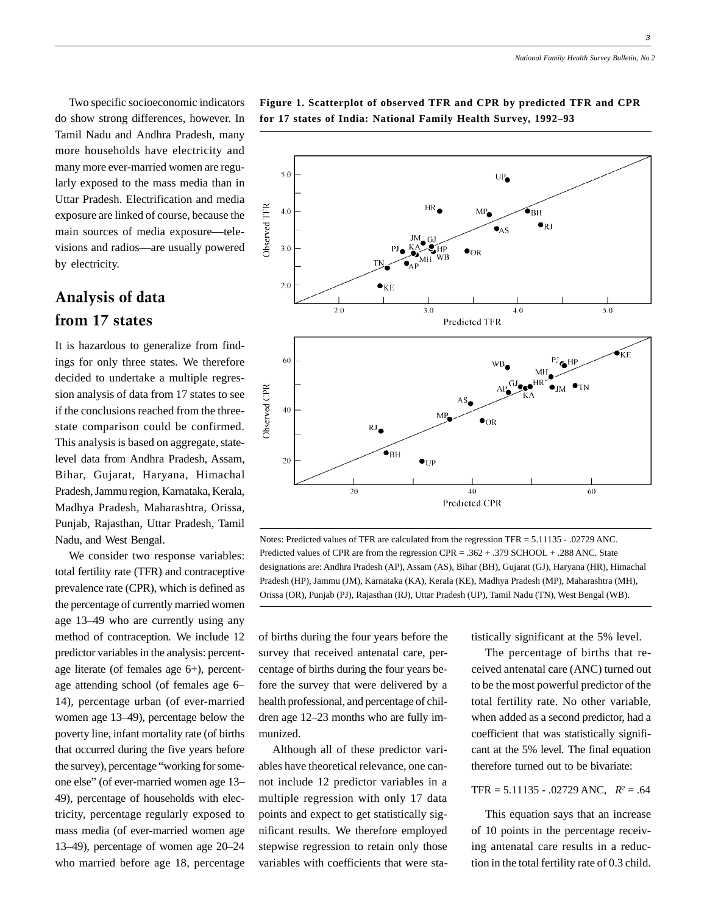3

Two specific socioeconomic indicators do show strong differences, however. In Tamil Nadu and Andhra Pradesh, many more households have electricity and many more ever-married women are regularly exposed to the mass media than in Uttar Pradesh. Electrification and media exposure are linked of course, because the main sources of media exposure—televisions and radios—are usually powered by electricity.

# Analysis of data from 17 states

It is hazardous to generalize from findings for only three states. We therefore decided to undertake a multiple regression analysis of data from 17 states to see if the conclusions reached from the threestate comparison could be confirmed. This analysis is based on aggregate, statelevel data from Andhra Pradesh, Assam, Bihar, Gujarat, Haryana, Himachal Pradesh, Jammu region, Karnataka, Kerala, Madhya Pradesh, Maharashtra, Orissa, Punjab, Rajasthan, Uttar Pradesh, Tamil Nadu, and West Bengal.

We consider two response variables: total fertility rate (TFR) and contraceptive prevalence rate (CPR), which is defined as the percentage of currently married women age 13–49 who are currently using any method of contraception. We include 12 predictor variables in the analysis: percentage literate (of females age 6+), percentage attending school (of females age 6– 14), percentage urban (of ever-married women age 13–49), percentage below the poverty line, infant mortality rate (of births that occurred during the five years before the survey), percentage "working for someone else" (of ever-married women age 13– 49), percentage of households with electricity, percentage regularly exposed to mass media (of ever-married women age 13–49), percentage of women age 20–24 who married before age 18, percentage

## **Figure 1. Scatterplot of observed TFR and CPR by predicted TFR and CPR for 17 states of India: National Family Health Survey, 1992–93**



Notes: Predicted values of TFR are calculated from the regression TFR = 5.11135 - .02729 ANC. Predicted values of CPR are from the regression CPR = .362 + .379 SCHOOL + .288 ANC. State designations are: Andhra Pradesh (AP), Assam (AS), Bihar (BH), Gujarat (GJ), Haryana (HR), Himachal Pradesh (HP), Jammu (JM), Karnataka (KA), Kerala (KE), Madhya Pradesh (MP), Maharashtra (MH), Orissa (OR), Punjab (PJ), Rajasthan (RJ), Uttar Pradesh (UP), Tamil Nadu (TN), West Bengal (WB).

of births during the four years before the survey that received antenatal care, percentage of births during the four years before the survey that were delivered by a health professional, and percentage of children age 12–23 months who are fully immunized.

Although all of these predictor variables have theoretical relevance, one cannot include 12 predictor variables in a multiple regression with only 17 data points and expect to get statistically significant results. We therefore employed stepwise regression to retain only those variables with coefficients that were statistically significant at the 5% level.

The percentage of births that received antenatal care (ANC) turned out to be the most powerful predictor of the total fertility rate. No other variable, when added as a second predictor, had a coefficient that was statistically significant at the 5% level. The final equation therefore turned out to be bivariate:

### TFR =  $5.11135 - .02729$  ANC,  $R^2 = .64$

This equation says that an increase of 10 points in the percentage receiving antenatal care results in a reduction in the total fertility rate of 0.3 child.